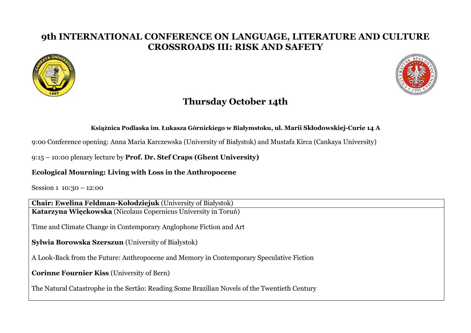## **9th INTERNATIONAL CONFERENCE ON LANGUAGE, LITERATURE AND CULTURE CROSSROADS III: RISK AND SAFETY**





# **Thursday October 14th**

#### **Książnica Podlaska im**. **Łukasza Górnickiego w Białymstoku, ul. Marii Skłodowskiej-Curie 14 A**

9:00 Conference opening: Anna Maria Karczewska (University of Białystok) and Mustafa Kirca (Cankaya University)

### 9:15 – 10:00 plenary lecture by **Prof. Dr. Stef Craps (Ghent University)**

### **Ecological Mourning: Living with Loss in the Anthropocene**

Session 1 10:30 – 12:00

**Chair: Ewelina Feldman-Kołodziejuk** (University of Białystok) **Katarzyna Więckowska** (Nicolaus Copernicus University in Toruń)

Time and Climate Change in Contemporary Anglophone Fiction and Art

**Sylwia Borowska Szerszun** (University of Białystok)

A Look-Back from the Future: Anthropocene and Memory in Contemporary Speculative Fiction

**Corinne Fournier Kiss** (University of Bern)

The Natural Catastrophe in the Sertão: Reading Some Brazilian Novels of the Twentieth Century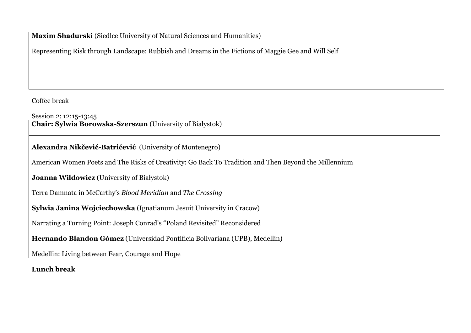**Maxim Shadurski** (Siedlce University of Natural Sciences and Humanities)

Representing Risk through Landscape: Rubbish and Dreams in the Fictions of Maggie Gee and Will Self

Coffee break

Session 2: 12:15-13:45

**Chair: Sylwia Borowska-Szerszun** (University of Białystok)

**Alexandra Nikčević-Batrićević** (University of Montenegro)

American Women Poets and The Risks of Creativity: Go Back To Tradition and Then Beyond the Millennium

**Joanna Wildowicz** (University of Białystok)

Terra Damnata in McCarthy's *Blood Meridian* and *The Crossing*

**Sylwia Janina Wojciechowska** (Ignatianum Jesuit University in Cracow)

Narrating a Turning Point: Joseph Conrad's "Poland Revisited" Reconsidered

**Hernando Blandon Gómez** (Universidad Pontificia Bolivariana (UPB), Medellin)

Medellin: Living between Fear, Courage and Hope

**Lunch break**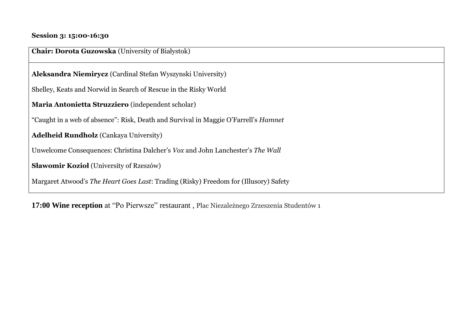### **Session 3: 15:00-16:30**

| <b>Chair: Dorota Guzowska</b> (University of Białystok)                                    |
|--------------------------------------------------------------------------------------------|
| Aleksandra Niemirycz (Cardinal Stefan Wyszynski University)                                |
| Shelley, Keats and Norwid in Search of Rescue in the Risky World                           |
| Maria Antonietta Struzziero (independent scholar)                                          |
| "Caught in a web of absence": Risk, Death and Survival in Maggie O'Farrell's <i>Hamnet</i> |
| <b>Adelheid Rundholz</b> (Cankaya University)                                              |
| Unwelcome Consequences: Christina Dalcher's Vox and John Lanchester's The Wall             |
| <b>Sławomir Kozioł</b> (University of Rzeszów)                                             |
| Margaret Atwood's The Heart Goes Last: Trading (Risky) Freedom for (Illusory) Safety       |

**17:00 Wine reception** at "Po Pierwsze" restaurant , Plac Niezależnego Zrzeszenia Studentów 1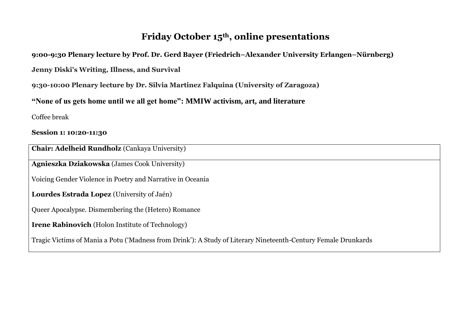# **Friday October 15th , online presentations**

**9:00-9:30 Plenary lecture by Prof. Dr. Gerd Bayer (Friedrich–Alexander University Erlangen–Nürnberg)**

**Jenny Diski's Writing, Illness, and Survival**

**9:30-10:00 Plenary lecture by Dr. Silvia Martinez Falquina (University of Zaragoza)**

**"None of us gets home until we all get home": MMIW activism, art, and literature**

Coffee break

**Session 1: 10:20-11:30**

**Chair: Adelheid Rundholz** (Cankaya University)

**Agnieszka Dziakowska** (James Cook University)

Voicing Gender Violence in Poetry and Narrative in Oceania

**Lourdes Estrada Lopez** (University of Jaén)

Queer Apocalypse. Dismembering the (Hetero) Romance

**Irene Rabinovich** (Holon Institute of Technology)

Tragic Victims of Mania a Potu ('Madness from Drink'): A Study of Literary Nineteenth-Century Female Drunkards